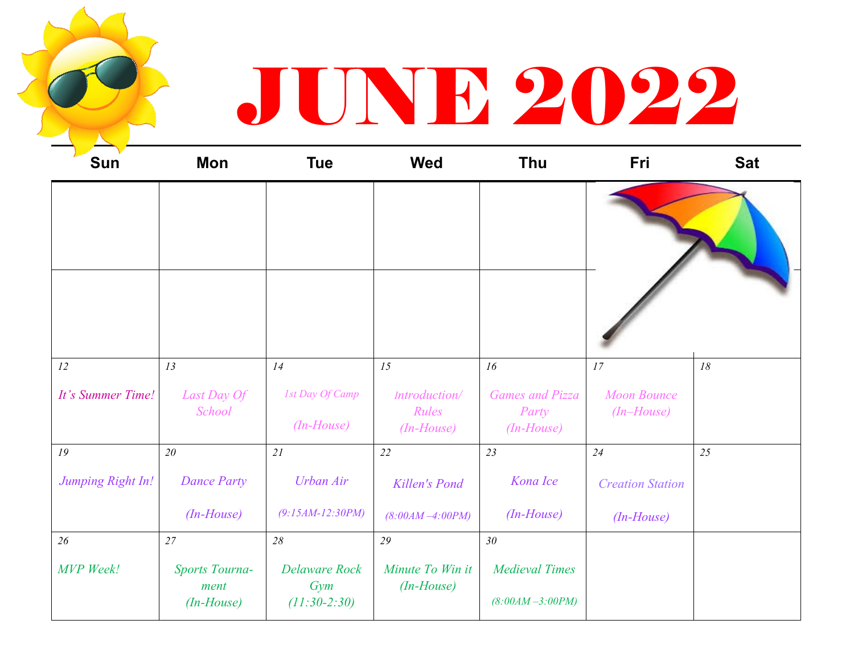## JUNE 2022

| <b>Sun</b>        | Mon                                           | <b>Tue</b>                                    | <b>Wed</b>                             | Thu                                             | Fri                              | <b>Sat</b> |
|-------------------|-----------------------------------------------|-----------------------------------------------|----------------------------------------|-------------------------------------------------|----------------------------------|------------|
|                   |                                               |                                               |                                        |                                                 |                                  |            |
|                   |                                               |                                               |                                        |                                                 |                                  |            |
| 12                | 13                                            | 14                                            | 15                                     | 16                                              | 17                               | $18\,$     |
| It's Summer Time! | Last Day Of<br>School                         | 1st Day Of Camp<br>$(In-House)$               | Introduction/<br>Rules<br>$(In-House)$ | <b>Games and Pizza</b><br>Party<br>$(In-House)$ | <b>Moon Bounce</b><br>(In–House) |            |
| 19                | $2\theta$                                     | 21                                            | 22                                     | 23                                              | 24                               | 25         |
| Jumping Right In! | <b>Dance Party</b>                            | <b>Urban Air</b>                              | <b>Killen's Pond</b>                   | Kona Ice                                        | <b>Creation Station</b>          |            |
|                   | $(In-House)$                                  | $(9:15AM-12:30PM)$                            | $(8:00AM - 4:00PM)$                    | $(In-House)$                                    | $(In-House)$                     |            |
| 26                | 27                                            | 28                                            | 29                                     | 30 <sub>o</sub>                                 |                                  |            |
| <b>MVP</b> Week!  | <b>Sports Tourna-</b><br>ment<br>$(In-House)$ | <b>Delaware Rock</b><br>Gym<br>$(11:30-2:30)$ | Minute To Win it<br>$(In-House)$       | <b>Medieval Times</b><br>$(8:00AM - 3:00PM)$    |                                  |            |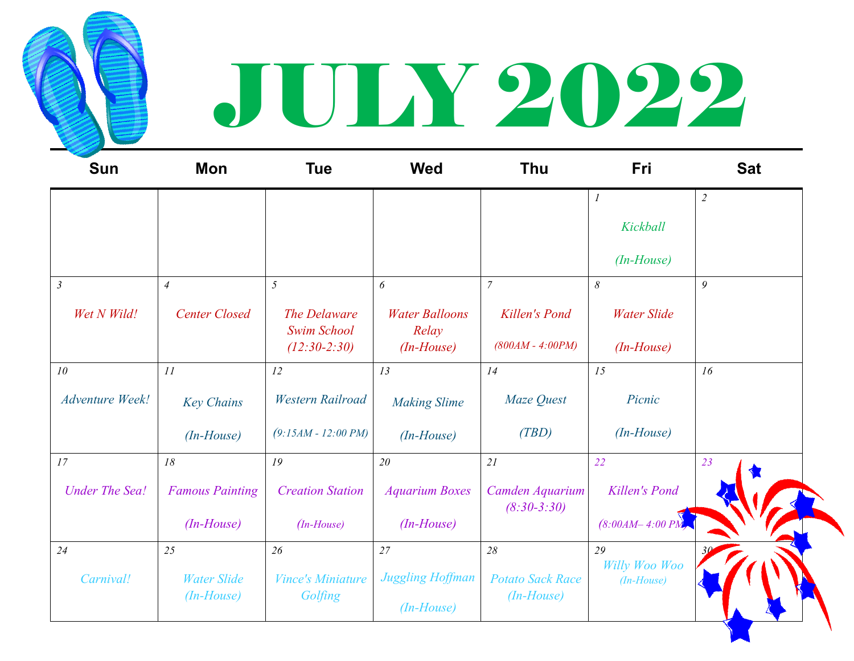

## JULY 2022

| <b>Sun</b>             | Mon                                      | <b>Tue</b>                                           | <b>Wed</b>                                     | <b>Thu</b>                                    | Fri                                 | <b>Sat</b> |
|------------------------|------------------------------------------|------------------------------------------------------|------------------------------------------------|-----------------------------------------------|-------------------------------------|------------|
|                        |                                          |                                                      |                                                |                                               | $\boldsymbol{l}$<br>Kickball        | $\sqrt{2}$ |
| $\mathfrak{Z}$         | $\overline{4}$                           | 5                                                    | 6                                              | $\overline{7}$                                | $(In-House)$<br>8                   | 9          |
| Wet N Wild!            | <b>Center Closed</b>                     | The Delaware<br><b>Swim School</b><br>$(12:30-2:30)$ | <b>Water Balloons</b><br>Relay<br>$(In-House)$ | Killen's Pond<br>$(800AM - 4:00PM)$           | <b>Water Slide</b><br>$(In-House)$  |            |
| 10                     | 11                                       | 12                                                   | 13                                             | 14                                            | 15                                  | 16         |
| <b>Adventure Week!</b> | <b>Key Chains</b>                        | <b>Western Railroad</b>                              | <b>Making Slime</b>                            | Maze Quest                                    | Picnic                              |            |
|                        | $(In-House)$                             | $(9:15AM - 12:00 PM)$                                | $(In-House)$                                   | (TBD)                                         | $(In-House)$                        |            |
| 17                     | 18                                       | 19                                                   | 20                                             | 21                                            | 22                                  | 23         |
| <b>Under The Sea!</b>  | <b>Famous Painting</b>                   | <b>Creation Station</b>                              | <b>Aquarium Boxes</b>                          | Camden Aquarium<br>$(8:30-3:30)$              | <b>Killen's Pond</b>                |            |
|                        | $(In-House)$                             | $(In-House)$                                         | $(In-House)$                                   |                                               | $(8:00AM - 4:00 PM)$                |            |
| 24<br>Carnival!        | 25<br><b>Water Slide</b><br>$(In-House)$ | 26<br><b>Vince's Miniature</b><br>Golfing            | 27<br>Juggling Hoffman<br>$(In-House)$         | 28<br><b>Potato Sack Race</b><br>$(In-House)$ | 29<br>Willy Woo Woo<br>$(In-House)$ |            |